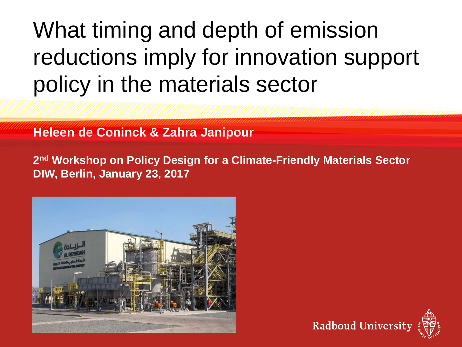# What timing and depth of emission reductions imply for innovation support policy in the materials sector

#### **Heleen de Coninck & Zahra Janipour**

**2nd Workshop on Policy Design for a Climate-Friendly Materials Sector DIW, Berlin, January 23, 2017**



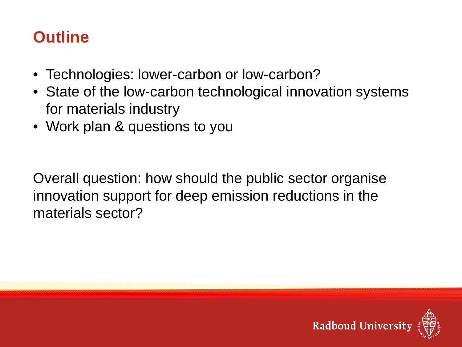#### **Outline**

- Technologies: lower-carbon or low-carbon?
- State of the low-carbon technological innovation systems for materials industry
- Work plan & questions to you

Overall question: how should the public sector organise innovation support for deep emission reductions in the materials sector?

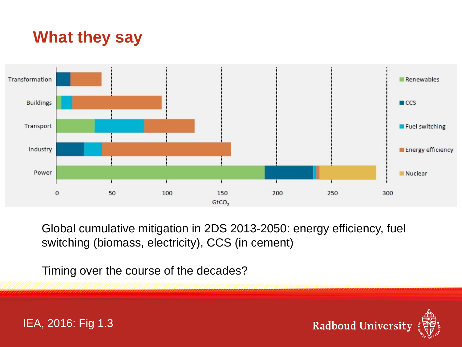#### **What they say**



Global cumulative mitigation in 2DS 2013-2050: energy efficiency, fuel switching (biomass, electricity), CCS (in cement)

Timing over the course of the decades?



IEA, 2016: Fig 1.3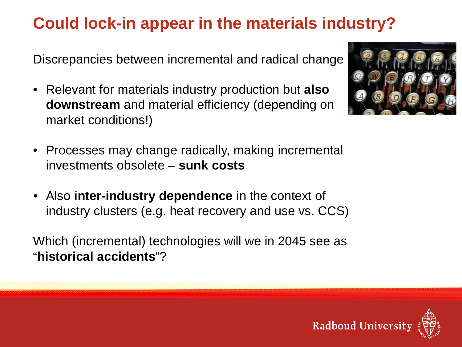## **Could lock-in appear in the materials industry?**

Discrepancies between incremental and radical change

• Relevant for materials industry production but **also downstream** and material efficiency (depending on market conditions!)



- Processes may change radically, making incremental investments obsolete – **sunk costs**
- Also **inter-industry dependence** in the context of industry clusters (e.g. heat recovery and use vs. CCS)

Which (incremental) technologies will we in 2045 see as "**historical accidents**"?

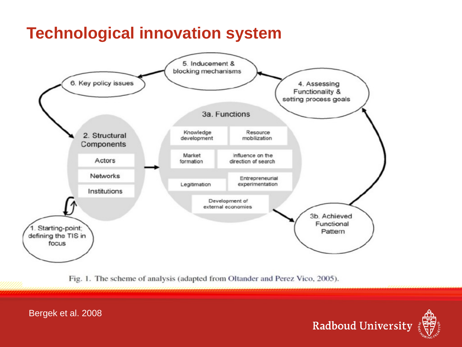#### **Technological innovation system**



Fig. 1. The scheme of analysis (adapted from Oltander and Perez Vico, 2005).



Bergek et al. 2008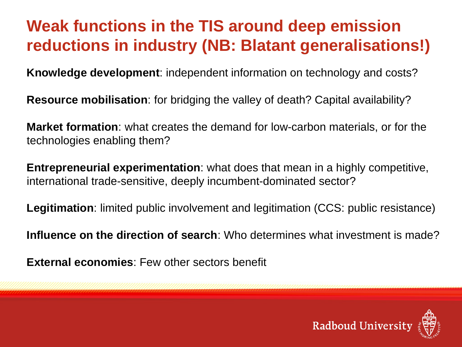#### **Weak functions in the TIS around deep emission reductions in industry (NB: Blatant generalisations!)**

**Knowledge development**: independent information on technology and costs?

**Resource mobilisation**: for bridging the valley of death? Capital availability?

**Market formation**: what creates the demand for low-carbon materials, or for the technologies enabling them?

**Entrepreneurial experimentation**: what does that mean in a highly competitive, international trade-sensitive, deeply incumbent-dominated sector?

**Legitimation**: limited public involvement and legitimation (CCS: public resistance)

**Influence on the direction of search**: Who determines what investment is made?

**External economies**: Few other sectors benefit

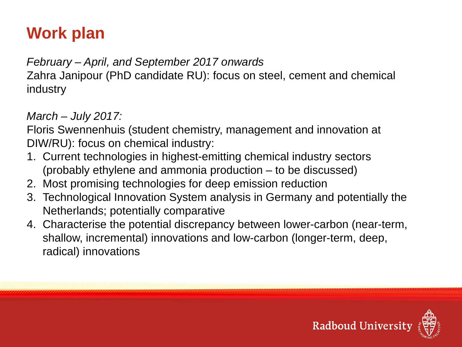## **Work plan**

*February – April, and September 2017 onwards* Zahra Janipour (PhD candidate RU): focus on steel, cement and chemical industry

#### *March – July 2017:*

Floris Swennenhuis (student chemistry, management and innovation at DIW/RU): focus on chemical industry:

- 1. Current technologies in highest-emitting chemical industry sectors (probably ethylene and ammonia production – to be discussed)
- 2. Most promising technologies for deep emission reduction
- 3. Technological Innovation System analysis in Germany and potentially the Netherlands; potentially comparative
- 4. Characterise the potential discrepancy between lower-carbon (near-term, shallow, incremental) innovations and low-carbon (longer-term, deep, radical) innovations